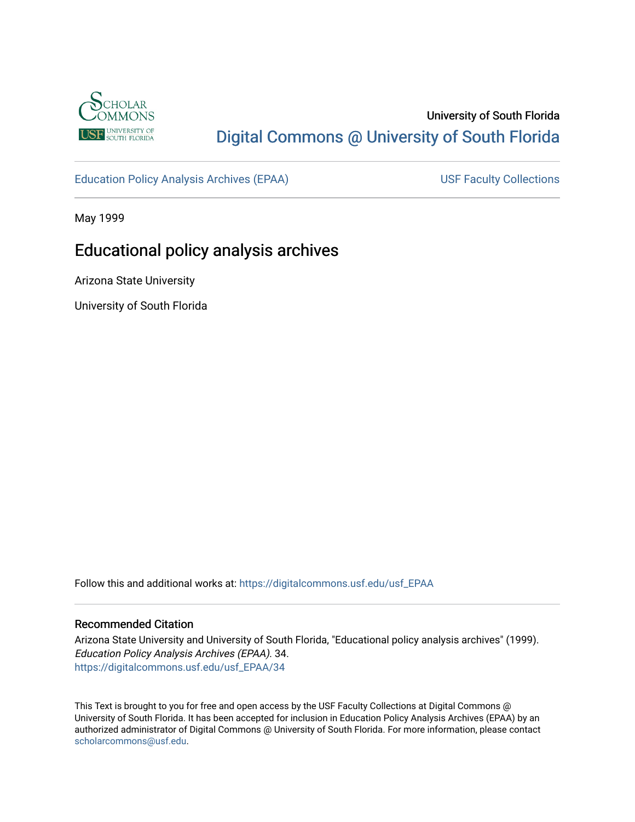

# University of South Florida [Digital Commons @ University of South Florida](https://digitalcommons.usf.edu/)

[Education Policy Analysis Archives \(EPAA\)](https://digitalcommons.usf.edu/usf_EPAA) USF Faculty Collections

May 1999

# Educational policy analysis archives

Arizona State University

University of South Florida

Follow this and additional works at: [https://digitalcommons.usf.edu/usf\\_EPAA](https://digitalcommons.usf.edu/usf_EPAA?utm_source=digitalcommons.usf.edu%2Fusf_EPAA%2F34&utm_medium=PDF&utm_campaign=PDFCoverPages)

### Recommended Citation

Arizona State University and University of South Florida, "Educational policy analysis archives" (1999). Education Policy Analysis Archives (EPAA). 34. [https://digitalcommons.usf.edu/usf\\_EPAA/34](https://digitalcommons.usf.edu/usf_EPAA/34?utm_source=digitalcommons.usf.edu%2Fusf_EPAA%2F34&utm_medium=PDF&utm_campaign=PDFCoverPages) 

This Text is brought to you for free and open access by the USF Faculty Collections at Digital Commons @ University of South Florida. It has been accepted for inclusion in Education Policy Analysis Archives (EPAA) by an authorized administrator of Digital Commons @ University of South Florida. For more information, please contact [scholarcommons@usf.edu.](mailto:scholarcommons@usf.edu)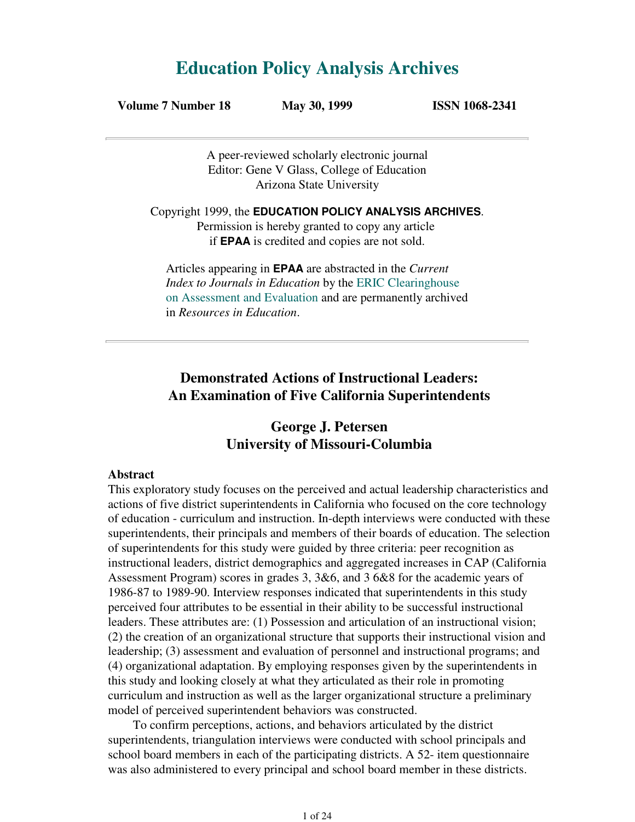# **Education Policy Analysis Archives**

| Volume 7 Number 18 | May 30, 1999 | <b>ISSN 1068-2341</b> |
|--------------------|--------------|-----------------------|
|--------------------|--------------|-----------------------|

A peer-reviewed scholarly electronic journal Editor: Gene V Glass, College of Education Arizona State University

Copyright 1999, the **EDUCATION POLICY ANALYSIS ARCHIVES**. Permission is hereby granted to copy any article if **EPAA** is credited and copies are not sold.

Articles appearing in **EPAA** are abstracted in the *Current Index to Journals in Education* by the ERIC Clearinghouse on Assessment and Evaluation and are permanently archived in *Resources in Education*.

# **Demonstrated Actions of Instructional Leaders: An Examination of Five California Superintendents**

# **George J. Petersen University of Missouri-Columbia**

### **Abstract**

This exploratory study focuses on the perceived and actual leadership characteristics and actions of five district superintendents in California who focused on the core technology of education - curriculum and instruction. In-depth interviews were conducted with these superintendents, their principals and members of their boards of education. The selection of superintendents for this study were guided by three criteria: peer recognition as instructional leaders, district demographics and aggregated increases in CAP (California Assessment Program) scores in grades 3, 3&6, and 3 6&8 for the academic years of 1986-87 to 1989-90. Interview responses indicated that superintendents in this study perceived four attributes to be essential in their ability to be successful instructional leaders. These attributes are: (1) Possession and articulation of an instructional vision; (2) the creation of an organizational structure that supports their instructional vision and leadership; (3) assessment and evaluation of personnel and instructional programs; and (4) organizational adaptation. By employing responses given by the superintendents in this study and looking closely at what they articulated as their role in promoting curriculum and instruction as well as the larger organizational structure a preliminary model of perceived superintendent behaviors was constructed.

 To confirm perceptions, actions, and behaviors articulated by the district superintendents, triangulation interviews were conducted with school principals and school board members in each of the participating districts. A 52- item questionnaire was also administered to every principal and school board member in these districts.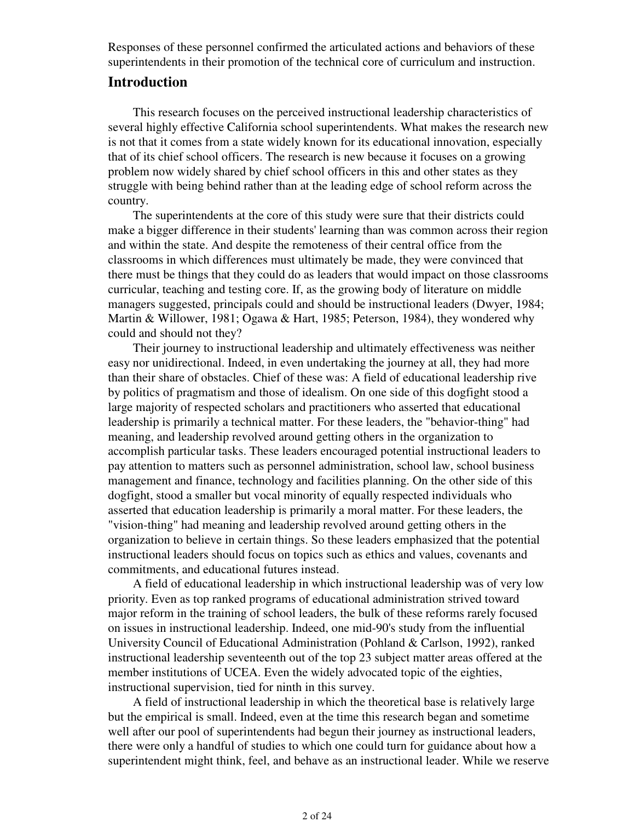Responses of these personnel confirmed the articulated actions and behaviors of these superintendents in their promotion of the technical core of curriculum and instruction.

## **Introduction**

 This research focuses on the perceived instructional leadership characteristics of several highly effective California school superintendents. What makes the research new is not that it comes from a state widely known for its educational innovation, especially that of its chief school officers. The research is new because it focuses on a growing problem now widely shared by chief school officers in this and other states as they struggle with being behind rather than at the leading edge of school reform across the country.

 The superintendents at the core of this study were sure that their districts could make a bigger difference in their students' learning than was common across their region and within the state. And despite the remoteness of their central office from the classrooms in which differences must ultimately be made, they were convinced that there must be things that they could do as leaders that would impact on those classrooms curricular, teaching and testing core. If, as the growing body of literature on middle managers suggested, principals could and should be instructional leaders (Dwyer, 1984; Martin & Willower, 1981; Ogawa & Hart, 1985; Peterson, 1984), they wondered why could and should not they?

 Their journey to instructional leadership and ultimately effectiveness was neither easy nor unidirectional. Indeed, in even undertaking the journey at all, they had more than their share of obstacles. Chief of these was: A field of educational leadership rive by politics of pragmatism and those of idealism. On one side of this dogfight stood a large majority of respected scholars and practitioners who asserted that educational leadership is primarily a technical matter. For these leaders, the "behavior-thing" had meaning, and leadership revolved around getting others in the organization to accomplish particular tasks. These leaders encouraged potential instructional leaders to pay attention to matters such as personnel administration, school law, school business management and finance, technology and facilities planning. On the other side of this dogfight, stood a smaller but vocal minority of equally respected individuals who asserted that education leadership is primarily a moral matter. For these leaders, the "vision-thing" had meaning and leadership revolved around getting others in the organization to believe in certain things. So these leaders emphasized that the potential instructional leaders should focus on topics such as ethics and values, covenants and commitments, and educational futures instead.

 A field of educational leadership in which instructional leadership was of very low priority. Even as top ranked programs of educational administration strived toward major reform in the training of school leaders, the bulk of these reforms rarely focused on issues in instructional leadership. Indeed, one mid-90's study from the influential University Council of Educational Administration (Pohland & Carlson, 1992), ranked instructional leadership seventeenth out of the top 23 subject matter areas offered at the member institutions of UCEA. Even the widely advocated topic of the eighties, instructional supervision, tied for ninth in this survey.

 A field of instructional leadership in which the theoretical base is relatively large but the empirical is small. Indeed, even at the time this research began and sometime well after our pool of superintendents had begun their journey as instructional leaders, there were only a handful of studies to which one could turn for guidance about how a superintendent might think, feel, and behave as an instructional leader. While we reserve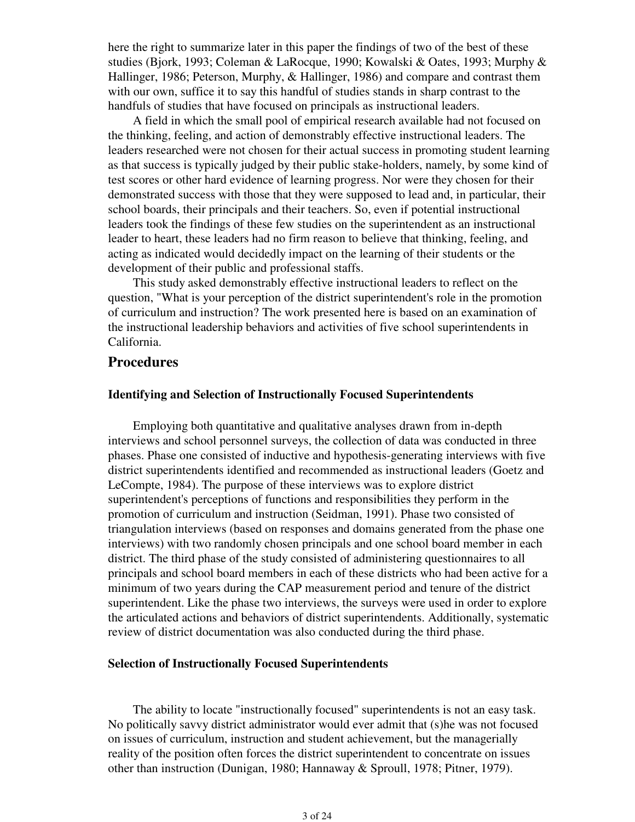here the right to summarize later in this paper the findings of two of the best of these studies (Bjork, 1993; Coleman & LaRocque, 1990; Kowalski & Oates, 1993; Murphy & Hallinger, 1986; Peterson, Murphy, & Hallinger, 1986) and compare and contrast them with our own, suffice it to say this handful of studies stands in sharp contrast to the handfuls of studies that have focused on principals as instructional leaders.

 A field in which the small pool of empirical research available had not focused on the thinking, feeling, and action of demonstrably effective instructional leaders. The leaders researched were not chosen for their actual success in promoting student learning as that success is typically judged by their public stake-holders, namely, by some kind of test scores or other hard evidence of learning progress. Nor were they chosen for their demonstrated success with those that they were supposed to lead and, in particular, their school boards, their principals and their teachers. So, even if potential instructional leaders took the findings of these few studies on the superintendent as an instructional leader to heart, these leaders had no firm reason to believe that thinking, feeling, and acting as indicated would decidedly impact on the learning of their students or the development of their public and professional staffs.

 This study asked demonstrably effective instructional leaders to reflect on the question, "What is your perception of the district superintendent's role in the promotion of curriculum and instruction? The work presented here is based on an examination of the instructional leadership behaviors and activities of five school superintendents in California.

## **Procedures**

### **Identifying and Selection of Instructionally Focused Superintendents**

 Employing both quantitative and qualitative analyses drawn from in-depth interviews and school personnel surveys, the collection of data was conducted in three phases. Phase one consisted of inductive and hypothesis-generating interviews with five district superintendents identified and recommended as instructional leaders (Goetz and LeCompte, 1984). The purpose of these interviews was to explore district superintendent's perceptions of functions and responsibilities they perform in the promotion of curriculum and instruction (Seidman, 1991). Phase two consisted of triangulation interviews (based on responses and domains generated from the phase one interviews) with two randomly chosen principals and one school board member in each district. The third phase of the study consisted of administering questionnaires to all principals and school board members in each of these districts who had been active for a minimum of two years during the CAP measurement period and tenure of the district superintendent. Like the phase two interviews, the surveys were used in order to explore the articulated actions and behaviors of district superintendents. Additionally, systematic review of district documentation was also conducted during the third phase.

### **Selection of Instructionally Focused Superintendents**

 The ability to locate "instructionally focused" superintendents is not an easy task. No politically savvy district administrator would ever admit that (s)he was not focused on issues of curriculum, instruction and student achievement, but the managerially reality of the position often forces the district superintendent to concentrate on issues other than instruction (Dunigan, 1980; Hannaway & Sproull, 1978; Pitner, 1979).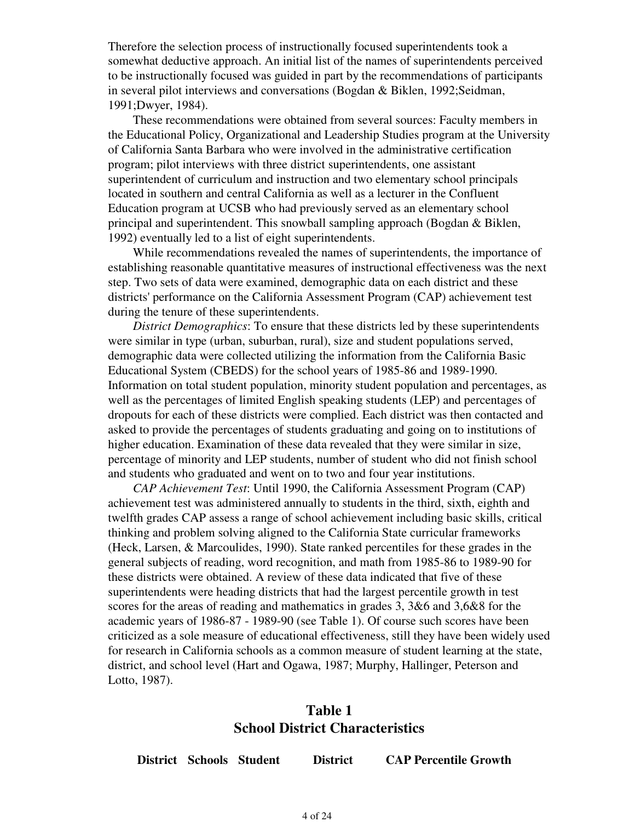Therefore the selection process of instructionally focused superintendents took a somewhat deductive approach. An initial list of the names of superintendents perceived to be instructionally focused was guided in part by the recommendations of participants in several pilot interviews and conversations (Bogdan & Biklen, 1992;Seidman, 1991;Dwyer, 1984).

 These recommendations were obtained from several sources: Faculty members in the Educational Policy, Organizational and Leadership Studies program at the University of California Santa Barbara who were involved in the administrative certification program; pilot interviews with three district superintendents, one assistant superintendent of curriculum and instruction and two elementary school principals located in southern and central California as well as a lecturer in the Confluent Education program at UCSB who had previously served as an elementary school principal and superintendent. This snowball sampling approach (Bogdan & Biklen, 1992) eventually led to a list of eight superintendents.

 While recommendations revealed the names of superintendents, the importance of establishing reasonable quantitative measures of instructional effectiveness was the next step. Two sets of data were examined, demographic data on each district and these districts' performance on the California Assessment Program (CAP) achievement test during the tenure of these superintendents.

 *District Demographics*: To ensure that these districts led by these superintendents were similar in type (urban, suburban, rural), size and student populations served, demographic data were collected utilizing the information from the California Basic Educational System (CBEDS) for the school years of 1985-86 and 1989-1990. Information on total student population, minority student population and percentages, as well as the percentages of limited English speaking students (LEP) and percentages of dropouts for each of these districts were complied. Each district was then contacted and asked to provide the percentages of students graduating and going on to institutions of higher education. Examination of these data revealed that they were similar in size, percentage of minority and LEP students, number of student who did not finish school and students who graduated and went on to two and four year institutions.

 *CAP Achievement Test*: Until 1990, the California Assessment Program (CAP) achievement test was administered annually to students in the third, sixth, eighth and twelfth grades CAP assess a range of school achievement including basic skills, critical thinking and problem solving aligned to the California State curricular frameworks (Heck, Larsen, & Marcoulides, 1990). State ranked percentiles for these grades in the general subjects of reading, word recognition, and math from 1985-86 to 1989-90 for these districts were obtained. A review of these data indicated that five of these superintendents were heading districts that had the largest percentile growth in test scores for the areas of reading and mathematics in grades 3, 3&6 and 3,6&8 for the academic years of 1986-87 - 1989-90 (see Table 1). Of course such scores have been criticized as a sole measure of educational effectiveness, still they have been widely used for research in California schools as a common measure of student learning at the state, district, and school level (Hart and Ogawa, 1987; Murphy, Hallinger, Peterson and Lotto, 1987).

# **Table 1 School District Characteristics**

**District Schools Student District CAP Percentile Growth**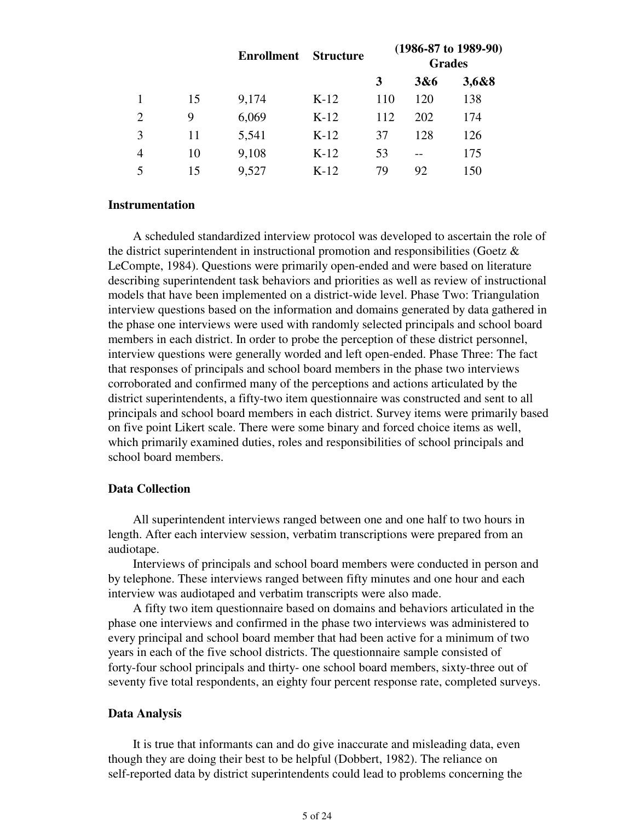|    | <b>Enrollment</b> | <b>Structure</b> |     |     |                                                  |
|----|-------------------|------------------|-----|-----|--------------------------------------------------|
|    |                   |                  | 3   | 3&6 | 3,6&8                                            |
| 15 | 9,174             | $K-12$           | 110 | 120 | 138                                              |
| 9  | 6,069             | $K-12$           | 112 | 202 | 174                                              |
| 11 | 5,541             | $K-12$           | 37  | 128 | 126                                              |
| 10 | 9,108             | $K-12$           | 53  |     | 175                                              |
| 15 | 9,527             | $K-12$           | 79  | 92  | 150                                              |
|    |                   |                  |     |     | $(1986-87 \text{ to } 1989-90)$<br><b>Grades</b> |

### **Instrumentation**

 A scheduled standardized interview protocol was developed to ascertain the role of the district superintendent in instructional promotion and responsibilities (Goetz  $\&$ LeCompte, 1984). Questions were primarily open-ended and were based on literature describing superintendent task behaviors and priorities as well as review of instructional models that have been implemented on a district-wide level. Phase Two: Triangulation interview questions based on the information and domains generated by data gathered in the phase one interviews were used with randomly selected principals and school board members in each district. In order to probe the perception of these district personnel, interview questions were generally worded and left open-ended. Phase Three: The fact that responses of principals and school board members in the phase two interviews corroborated and confirmed many of the perceptions and actions articulated by the district superintendents, a fifty-two item questionnaire was constructed and sent to all principals and school board members in each district. Survey items were primarily based on five point Likert scale. There were some binary and forced choice items as well, which primarily examined duties, roles and responsibilities of school principals and school board members.

### **Data Collection**

 All superintendent interviews ranged between one and one half to two hours in length. After each interview session, verbatim transcriptions were prepared from an audiotape.

 Interviews of principals and school board members were conducted in person and by telephone. These interviews ranged between fifty minutes and one hour and each interview was audiotaped and verbatim transcripts were also made.

 A fifty two item questionnaire based on domains and behaviors articulated in the phase one interviews and confirmed in the phase two interviews was administered to every principal and school board member that had been active for a minimum of two years in each of the five school districts. The questionnaire sample consisted of forty-four school principals and thirty- one school board members, sixty-three out of seventy five total respondents, an eighty four percent response rate, completed surveys.

### **Data Analysis**

 It is true that informants can and do give inaccurate and misleading data, even though they are doing their best to be helpful (Dobbert, 1982). The reliance on self-reported data by district superintendents could lead to problems concerning the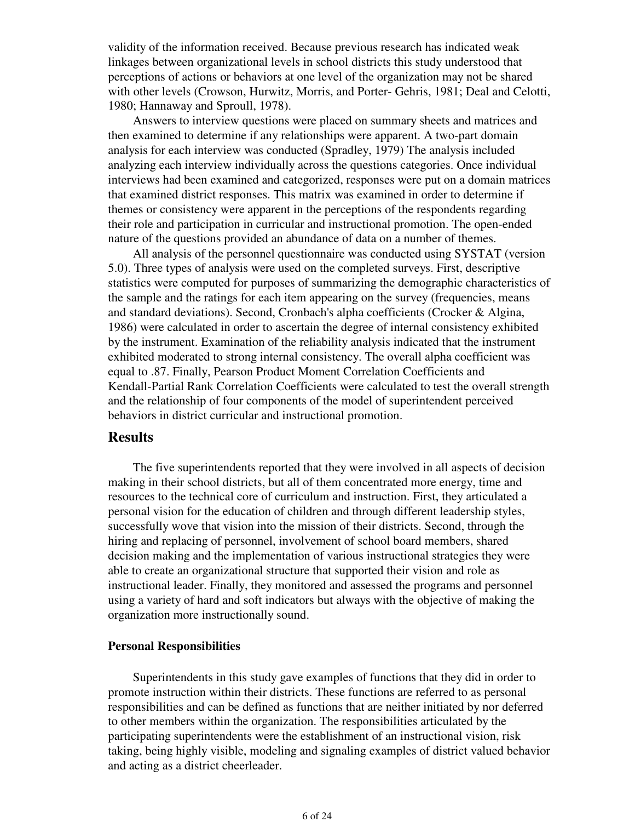validity of the information received. Because previous research has indicated weak linkages between organizational levels in school districts this study understood that perceptions of actions or behaviors at one level of the organization may not be shared with other levels (Crowson, Hurwitz, Morris, and Porter- Gehris, 1981; Deal and Celotti, 1980; Hannaway and Sproull, 1978).

 Answers to interview questions were placed on summary sheets and matrices and then examined to determine if any relationships were apparent. A two-part domain analysis for each interview was conducted (Spradley, 1979) The analysis included analyzing each interview individually across the questions categories. Once individual interviews had been examined and categorized, responses were put on a domain matrices that examined district responses. This matrix was examined in order to determine if themes or consistency were apparent in the perceptions of the respondents regarding their role and participation in curricular and instructional promotion. The open-ended nature of the questions provided an abundance of data on a number of themes.

 All analysis of the personnel questionnaire was conducted using SYSTAT (version 5.0). Three types of analysis were used on the completed surveys. First, descriptive statistics were computed for purposes of summarizing the demographic characteristics of the sample and the ratings for each item appearing on the survey (frequencies, means and standard deviations). Second, Cronbach's alpha coefficients (Crocker & Algina, 1986) were calculated in order to ascertain the degree of internal consistency exhibited by the instrument. Examination of the reliability analysis indicated that the instrument exhibited moderated to strong internal consistency. The overall alpha coefficient was equal to .87. Finally, Pearson Product Moment Correlation Coefficients and Kendall-Partial Rank Correlation Coefficients were calculated to test the overall strength and the relationship of four components of the model of superintendent perceived behaviors in district curricular and instructional promotion.

### **Results**

 The five superintendents reported that they were involved in all aspects of decision making in their school districts, but all of them concentrated more energy, time and resources to the technical core of curriculum and instruction. First, they articulated a personal vision for the education of children and through different leadership styles, successfully wove that vision into the mission of their districts. Second, through the hiring and replacing of personnel, involvement of school board members, shared decision making and the implementation of various instructional strategies they were able to create an organizational structure that supported their vision and role as instructional leader. Finally, they monitored and assessed the programs and personnel using a variety of hard and soft indicators but always with the objective of making the organization more instructionally sound.

### **Personal Responsibilities**

 Superintendents in this study gave examples of functions that they did in order to promote instruction within their districts. These functions are referred to as personal responsibilities and can be defined as functions that are neither initiated by nor deferred to other members within the organization. The responsibilities articulated by the participating superintendents were the establishment of an instructional vision, risk taking, being highly visible, modeling and signaling examples of district valued behavior and acting as a district cheerleader.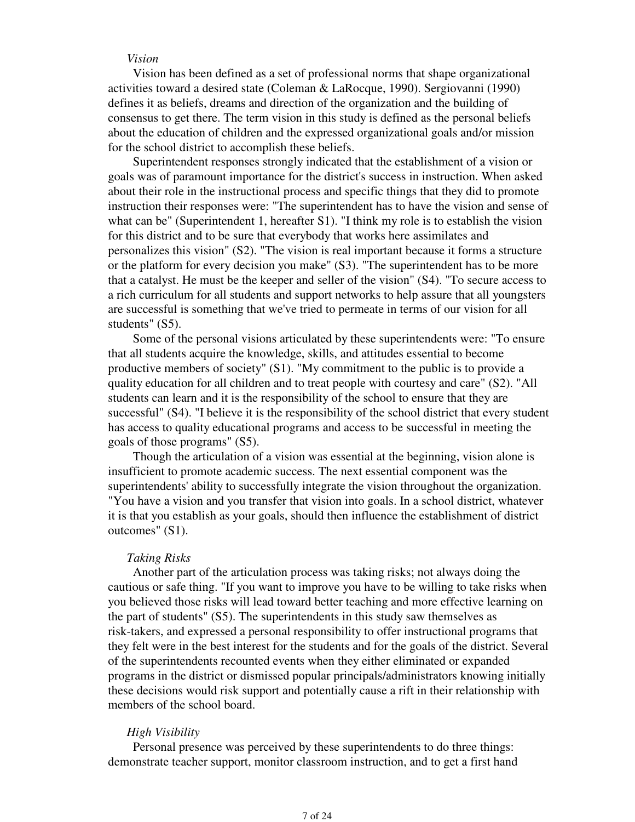#### *Vision*

 Vision has been defined as a set of professional norms that shape organizational activities toward a desired state (Coleman & LaRocque, 1990). Sergiovanni (1990) defines it as beliefs, dreams and direction of the organization and the building of consensus to get there. The term vision in this study is defined as the personal beliefs about the education of children and the expressed organizational goals and/or mission for the school district to accomplish these beliefs.

 Superintendent responses strongly indicated that the establishment of a vision or goals was of paramount importance for the district's success in instruction. When asked about their role in the instructional process and specific things that they did to promote instruction their responses were: "The superintendent has to have the vision and sense of what can be" (Superintendent 1, hereafter S1). "I think my role is to establish the vision for this district and to be sure that everybody that works here assimilates and personalizes this vision" (S2). "The vision is real important because it forms a structure or the platform for every decision you make" (S3). "The superintendent has to be more that a catalyst. He must be the keeper and seller of the vision" (S4). "To secure access to a rich curriculum for all students and support networks to help assure that all youngsters are successful is something that we've tried to permeate in terms of our vision for all students" (S5).

 Some of the personal visions articulated by these superintendents were: "To ensure that all students acquire the knowledge, skills, and attitudes essential to become productive members of society" (S1). "My commitment to the public is to provide a quality education for all children and to treat people with courtesy and care" (S2). "All students can learn and it is the responsibility of the school to ensure that they are successful" (S4). "I believe it is the responsibility of the school district that every student has access to quality educational programs and access to be successful in meeting the goals of those programs" (S5).

 Though the articulation of a vision was essential at the beginning, vision alone is insufficient to promote academic success. The next essential component was the superintendents' ability to successfully integrate the vision throughout the organization. "You have a vision and you transfer that vision into goals. In a school district, whatever it is that you establish as your goals, should then influence the establishment of district outcomes" (S1).

#### *Taking Risks*

 Another part of the articulation process was taking risks; not always doing the cautious or safe thing. "If you want to improve you have to be willing to take risks when you believed those risks will lead toward better teaching and more effective learning on the part of students" (S5). The superintendents in this study saw themselves as risk-takers, and expressed a personal responsibility to offer instructional programs that they felt were in the best interest for the students and for the goals of the district. Several of the superintendents recounted events when they either eliminated or expanded programs in the district or dismissed popular principals/administrators knowing initially these decisions would risk support and potentially cause a rift in their relationship with members of the school board.

### *High Visibility*

 Personal presence was perceived by these superintendents to do three things: demonstrate teacher support, monitor classroom instruction, and to get a first hand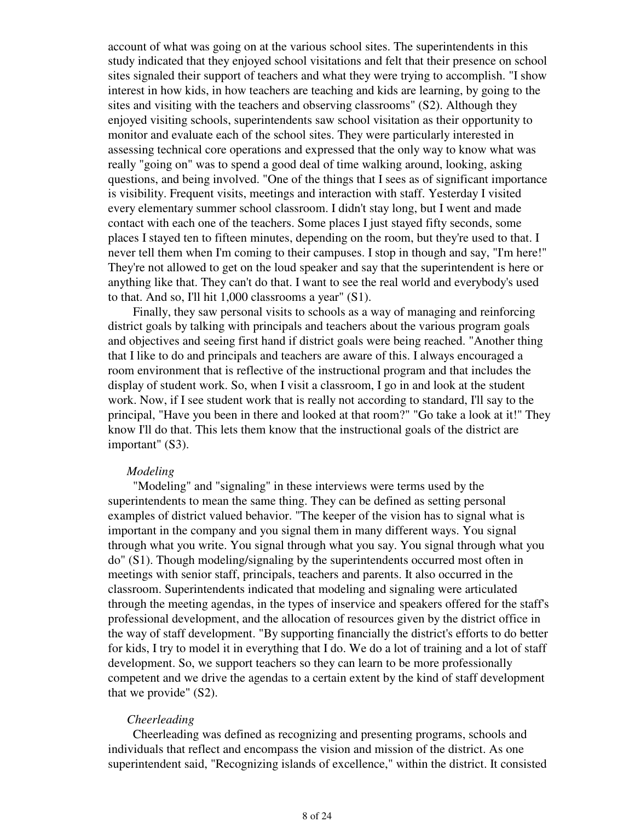account of what was going on at the various school sites. The superintendents in this study indicated that they enjoyed school visitations and felt that their presence on school sites signaled their support of teachers and what they were trying to accomplish. "I show interest in how kids, in how teachers are teaching and kids are learning, by going to the sites and visiting with the teachers and observing classrooms" (S2). Although they enjoyed visiting schools, superintendents saw school visitation as their opportunity to monitor and evaluate each of the school sites. They were particularly interested in assessing technical core operations and expressed that the only way to know what was really "going on" was to spend a good deal of time walking around, looking, asking questions, and being involved. "One of the things that I sees as of significant importance is visibility. Frequent visits, meetings and interaction with staff. Yesterday I visited every elementary summer school classroom. I didn't stay long, but I went and made contact with each one of the teachers. Some places I just stayed fifty seconds, some places I stayed ten to fifteen minutes, depending on the room, but they're used to that. I never tell them when I'm coming to their campuses. I stop in though and say, "I'm here!" They're not allowed to get on the loud speaker and say that the superintendent is here or anything like that. They can't do that. I want to see the real world and everybody's used to that. And so, I'll hit 1,000 classrooms a year" (S1).

 Finally, they saw personal visits to schools as a way of managing and reinforcing district goals by talking with principals and teachers about the various program goals and objectives and seeing first hand if district goals were being reached. "Another thing that I like to do and principals and teachers are aware of this. I always encouraged a room environment that is reflective of the instructional program and that includes the display of student work. So, when I visit a classroom, I go in and look at the student work. Now, if I see student work that is really not according to standard, I'll say to the principal, "Have you been in there and looked at that room?" "Go take a look at it!" They know I'll do that. This lets them know that the instructional goals of the district are important" (S3).

### *Modeling*

 "Modeling" and "signaling" in these interviews were terms used by the superintendents to mean the same thing. They can be defined as setting personal examples of district valued behavior. "The keeper of the vision has to signal what is important in the company and you signal them in many different ways. You signal through what you write. You signal through what you say. You signal through what you do" (S1). Though modeling/signaling by the superintendents occurred most often in meetings with senior staff, principals, teachers and parents. It also occurred in the classroom. Superintendents indicated that modeling and signaling were articulated through the meeting agendas, in the types of inservice and speakers offered for the staff's professional development, and the allocation of resources given by the district office in the way of staff development. "By supporting financially the district's efforts to do better for kids, I try to model it in everything that I do. We do a lot of training and a lot of staff development. So, we support teachers so they can learn to be more professionally competent and we drive the agendas to a certain extent by the kind of staff development that we provide" (S2).

### *Cheerleading*

 Cheerleading was defined as recognizing and presenting programs, schools and individuals that reflect and encompass the vision and mission of the district. As one superintendent said, "Recognizing islands of excellence," within the district. It consisted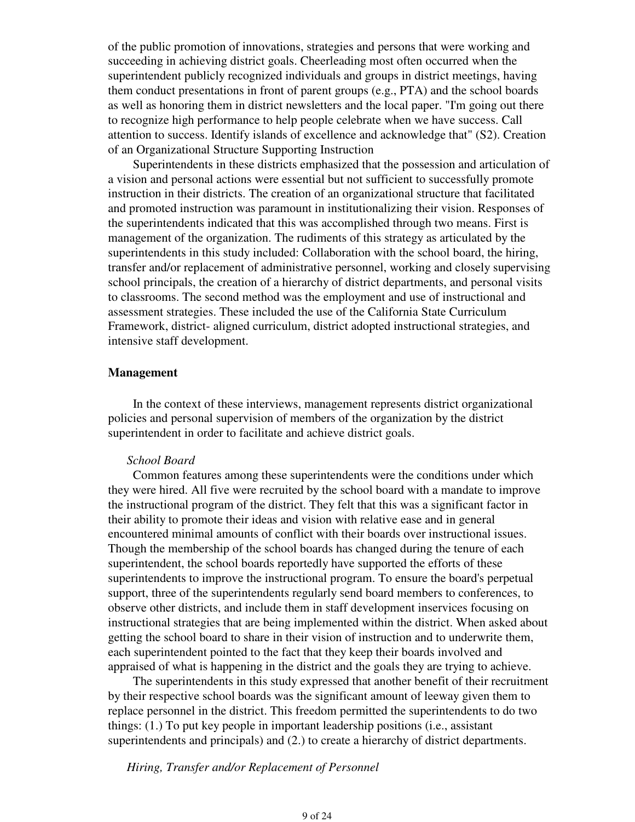of the public promotion of innovations, strategies and persons that were working and succeeding in achieving district goals. Cheerleading most often occurred when the superintendent publicly recognized individuals and groups in district meetings, having them conduct presentations in front of parent groups (e.g., PTA) and the school boards as well as honoring them in district newsletters and the local paper. "I'm going out there to recognize high performance to help people celebrate when we have success. Call attention to success. Identify islands of excellence and acknowledge that" (S2). Creation of an Organizational Structure Supporting Instruction

 Superintendents in these districts emphasized that the possession and articulation of a vision and personal actions were essential but not sufficient to successfully promote instruction in their districts. The creation of an organizational structure that facilitated and promoted instruction was paramount in institutionalizing their vision. Responses of the superintendents indicated that this was accomplished through two means. First is management of the organization. The rudiments of this strategy as articulated by the superintendents in this study included: Collaboration with the school board, the hiring, transfer and/or replacement of administrative personnel, working and closely supervising school principals, the creation of a hierarchy of district departments, and personal visits to classrooms. The second method was the employment and use of instructional and assessment strategies. These included the use of the California State Curriculum Framework, district- aligned curriculum, district adopted instructional strategies, and intensive staff development.

### **Management**

 In the context of these interviews, management represents district organizational policies and personal supervision of members of the organization by the district superintendent in order to facilitate and achieve district goals.

#### *School Board*

 Common features among these superintendents were the conditions under which they were hired. All five were recruited by the school board with a mandate to improve the instructional program of the district. They felt that this was a significant factor in their ability to promote their ideas and vision with relative ease and in general encountered minimal amounts of conflict with their boards over instructional issues. Though the membership of the school boards has changed during the tenure of each superintendent, the school boards reportedly have supported the efforts of these superintendents to improve the instructional program. To ensure the board's perpetual support, three of the superintendents regularly send board members to conferences, to observe other districts, and include them in staff development inservices focusing on instructional strategies that are being implemented within the district. When asked about getting the school board to share in their vision of instruction and to underwrite them, each superintendent pointed to the fact that they keep their boards involved and appraised of what is happening in the district and the goals they are trying to achieve.

 The superintendents in this study expressed that another benefit of their recruitment by their respective school boards was the significant amount of leeway given them to replace personnel in the district. This freedom permitted the superintendents to do two things: (1.) To put key people in important leadership positions (i.e., assistant superintendents and principals) and (2.) to create a hierarchy of district departments.

*Hiring, Transfer and/or Replacement of Personnel*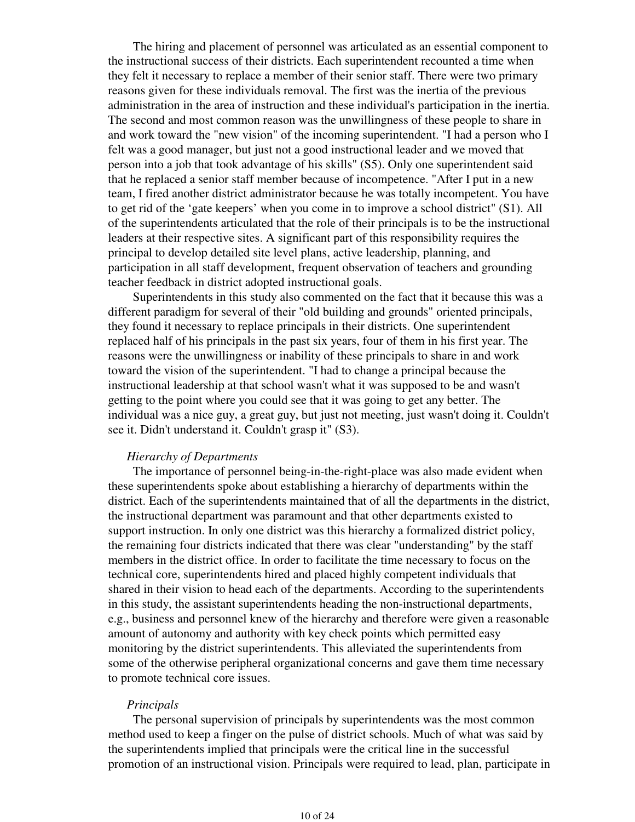The hiring and placement of personnel was articulated as an essential component to the instructional success of their districts. Each superintendent recounted a time when they felt it necessary to replace a member of their senior staff. There were two primary reasons given for these individuals removal. The first was the inertia of the previous administration in the area of instruction and these individual's participation in the inertia. The second and most common reason was the unwillingness of these people to share in and work toward the "new vision" of the incoming superintendent. "I had a person who I felt was a good manager, but just not a good instructional leader and we moved that person into a job that took advantage of his skills" (S5). Only one superintendent said that he replaced a senior staff member because of incompetence. "After I put in a new team, I fired another district administrator because he was totally incompetent. You have to get rid of the 'gate keepers' when you come in to improve a school district" (S1). All of the superintendents articulated that the role of their principals is to be the instructional leaders at their respective sites. A significant part of this responsibility requires the principal to develop detailed site level plans, active leadership, planning, and participation in all staff development, frequent observation of teachers and grounding teacher feedback in district adopted instructional goals.

 Superintendents in this study also commented on the fact that it because this was a different paradigm for several of their "old building and grounds" oriented principals, they found it necessary to replace principals in their districts. One superintendent replaced half of his principals in the past six years, four of them in his first year. The reasons were the unwillingness or inability of these principals to share in and work toward the vision of the superintendent. "I had to change a principal because the instructional leadership at that school wasn't what it was supposed to be and wasn't getting to the point where you could see that it was going to get any better. The individual was a nice guy, a great guy, but just not meeting, just wasn't doing it. Couldn't see it. Didn't understand it. Couldn't grasp it" (S3).

### *Hierarchy of Departments*

 The importance of personnel being-in-the-right-place was also made evident when these superintendents spoke about establishing a hierarchy of departments within the district. Each of the superintendents maintained that of all the departments in the district, the instructional department was paramount and that other departments existed to support instruction. In only one district was this hierarchy a formalized district policy, the remaining four districts indicated that there was clear "understanding" by the staff members in the district office. In order to facilitate the time necessary to focus on the technical core, superintendents hired and placed highly competent individuals that shared in their vision to head each of the departments. According to the superintendents in this study, the assistant superintendents heading the non-instructional departments, e.g., business and personnel knew of the hierarchy and therefore were given a reasonable amount of autonomy and authority with key check points which permitted easy monitoring by the district superintendents. This alleviated the superintendents from some of the otherwise peripheral organizational concerns and gave them time necessary to promote technical core issues.

#### *Principals*

 The personal supervision of principals by superintendents was the most common method used to keep a finger on the pulse of district schools. Much of what was said by the superintendents implied that principals were the critical line in the successful promotion of an instructional vision. Principals were required to lead, plan, participate in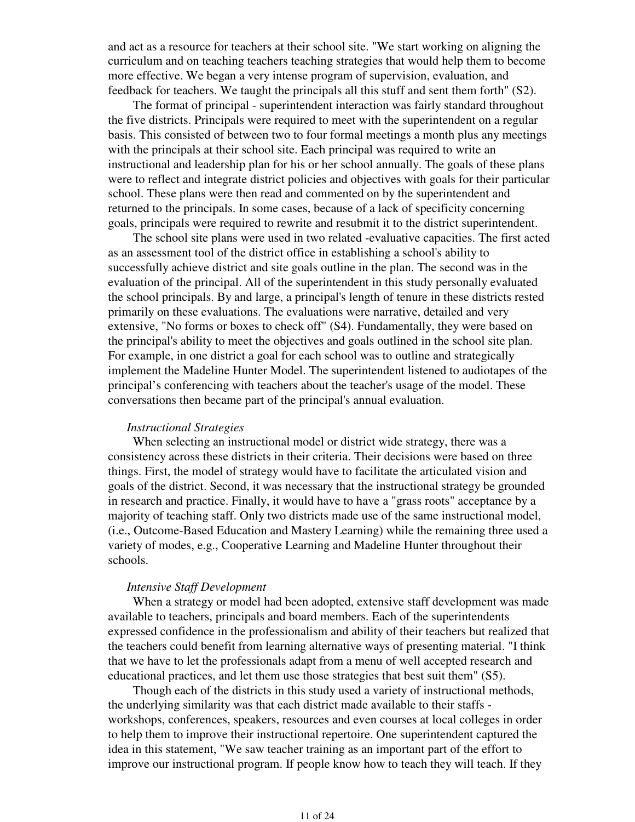and act as a resource for teachers at their school site. "We start working on aligning the curriculum and on teaching teachers teaching strategies that would help them to become more effective. We began a very intense program of supervision, evaluation, and feedback for teachers. We taught the principals all this stuff and sent them forth" (S2).

 The format of principal - superintendent interaction was fairly standard throughout the five districts. Principals were required to meet with the superintendent on a regular basis. This consisted of between two to four formal meetings a month plus any meetings with the principals at their school site. Each principal was required to write an instructional and leadership plan for his or her school annually. The goals of these plans were to reflect and integrate district policies and objectives with goals for their particular school. These plans were then read and commented on by the superintendent and returned to the principals. In some cases, because of a lack of specificity concerning goals, principals were required to rewrite and resubmit it to the district superintendent.

 The school site plans were used in two related -evaluative capacities. The first acted as an assessment tool of the district office in establishing a school's ability to successfully achieve district and site goals outline in the plan. The second was in the evaluation of the principal. All of the superintendent in this study personally evaluated the school principals. By and large, a principal's length of tenure in these districts rested primarily on these evaluations. The evaluations were narrative, detailed and very extensive, "No forms or boxes to check off" (S4). Fundamentally, they were based on the principal's ability to meet the objectives and goals outlined in the school site plan. For example, in one district a goal for each school was to outline and strategically implement the Madeline Hunter Model. The superintendent listened to audiotapes of the principal's conferencing with teachers about the teacher's usage of the model. These conversations then became part of the principal's annual evaluation.

### *Instructional Strategies*

 When selecting an instructional model or district wide strategy, there was a consistency across these districts in their criteria. Their decisions were based on three things. First, the model of strategy would have to facilitate the articulated vision and goals of the district. Second, it was necessary that the instructional strategy be grounded in research and practice. Finally, it would have to have a "grass roots" acceptance by a majority of teaching staff. Only two districts made use of the same instructional model, (i.e., Outcome-Based Education and Mastery Learning) while the remaining three used a variety of modes, e.g., Cooperative Learning and Madeline Hunter throughout their schools.

#### *Intensive Staff Development*

 When a strategy or model had been adopted, extensive staff development was made available to teachers, principals and board members. Each of the superintendents expressed confidence in the professionalism and ability of their teachers but realized that the teachers could benefit from learning alternative ways of presenting material. "I think that we have to let the professionals adapt from a menu of well accepted research and educational practices, and let them use those strategies that best suit them" (S5).

 Though each of the districts in this study used a variety of instructional methods, the underlying similarity was that each district made available to their staffs workshops, conferences, speakers, resources and even courses at local colleges in order to help them to improve their instructional repertoire. One superintendent captured the idea in this statement, "We saw teacher training as an important part of the effort to improve our instructional program. If people know how to teach they will teach. If they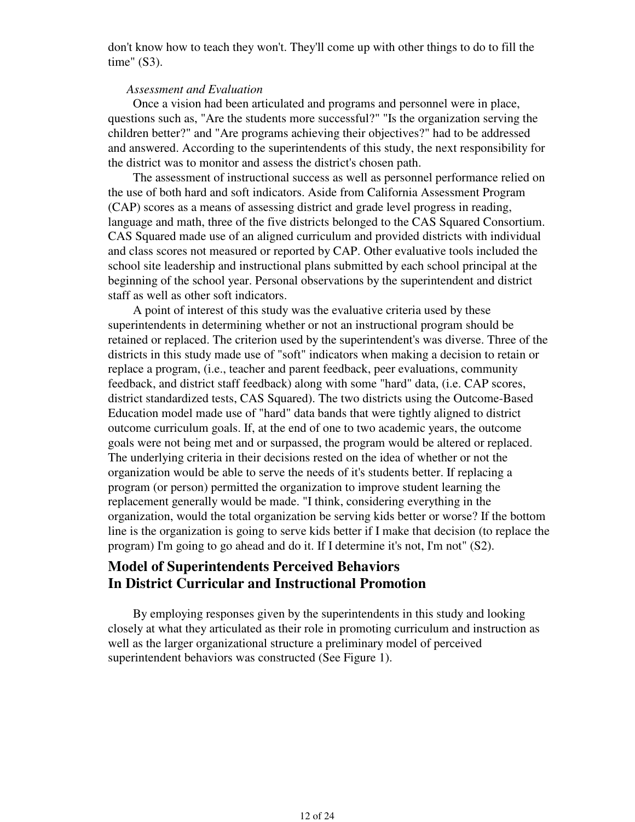don't know how to teach they won't. They'll come up with other things to do to fill the time" (S3).

#### *Assessment and Evaluation*

 Once a vision had been articulated and programs and personnel were in place, questions such as, "Are the students more successful?" "Is the organization serving the children better?" and "Are programs achieving their objectives?" had to be addressed and answered. According to the superintendents of this study, the next responsibility for the district was to monitor and assess the district's chosen path.

 The assessment of instructional success as well as personnel performance relied on the use of both hard and soft indicators. Aside from California Assessment Program (CAP) scores as a means of assessing district and grade level progress in reading, language and math, three of the five districts belonged to the CAS Squared Consortium. CAS Squared made use of an aligned curriculum and provided districts with individual and class scores not measured or reported by CAP. Other evaluative tools included the school site leadership and instructional plans submitted by each school principal at the beginning of the school year. Personal observations by the superintendent and district staff as well as other soft indicators.

 A point of interest of this study was the evaluative criteria used by these superintendents in determining whether or not an instructional program should be retained or replaced. The criterion used by the superintendent's was diverse. Three of the districts in this study made use of "soft" indicators when making a decision to retain or replace a program, (i.e., teacher and parent feedback, peer evaluations, community feedback, and district staff feedback) along with some "hard" data, (i.e. CAP scores, district standardized tests, CAS Squared). The two districts using the Outcome-Based Education model made use of "hard" data bands that were tightly aligned to district outcome curriculum goals. If, at the end of one to two academic years, the outcome goals were not being met and or surpassed, the program would be altered or replaced. The underlying criteria in their decisions rested on the idea of whether or not the organization would be able to serve the needs of it's students better. If replacing a program (or person) permitted the organization to improve student learning the replacement generally would be made. "I think, considering everything in the organization, would the total organization be serving kids better or worse? If the bottom line is the organization is going to serve kids better if I make that decision (to replace the program) I'm going to go ahead and do it. If I determine it's not, I'm not" (S2).

# **Model of Superintendents Perceived Behaviors In District Curricular and Instructional Promotion**

 By employing responses given by the superintendents in this study and looking closely at what they articulated as their role in promoting curriculum and instruction as well as the larger organizational structure a preliminary model of perceived superintendent behaviors was constructed (See Figure 1).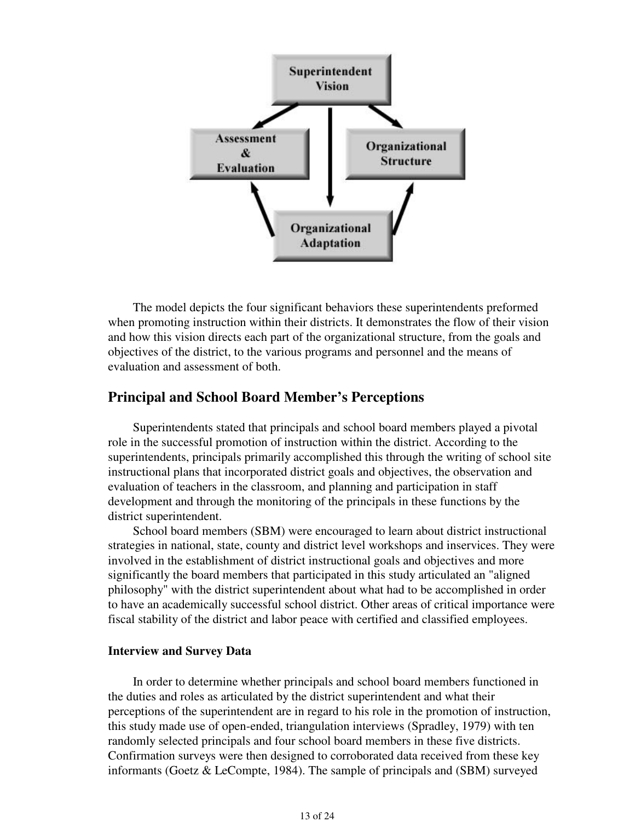

 The model depicts the four significant behaviors these superintendents preformed when promoting instruction within their districts. It demonstrates the flow of their vision and how this vision directs each part of the organizational structure, from the goals and objectives of the district, to the various programs and personnel and the means of evaluation and assessment of both.

# **Principal and School Board Member's Perceptions**

 Superintendents stated that principals and school board members played a pivotal role in the successful promotion of instruction within the district. According to the superintendents, principals primarily accomplished this through the writing of school site instructional plans that incorporated district goals and objectives, the observation and evaluation of teachers in the classroom, and planning and participation in staff development and through the monitoring of the principals in these functions by the district superintendent.

 School board members (SBM) were encouraged to learn about district instructional strategies in national, state, county and district level workshops and inservices. They were involved in the establishment of district instructional goals and objectives and more significantly the board members that participated in this study articulated an "aligned philosophy" with the district superintendent about what had to be accomplished in order to have an academically successful school district. Other areas of critical importance were fiscal stability of the district and labor peace with certified and classified employees.

### **Interview and Survey Data**

 In order to determine whether principals and school board members functioned in the duties and roles as articulated by the district superintendent and what their perceptions of the superintendent are in regard to his role in the promotion of instruction, this study made use of open-ended, triangulation interviews (Spradley, 1979) with ten randomly selected principals and four school board members in these five districts. Confirmation surveys were then designed to corroborated data received from these key informants (Goetz & LeCompte, 1984). The sample of principals and (SBM) surveyed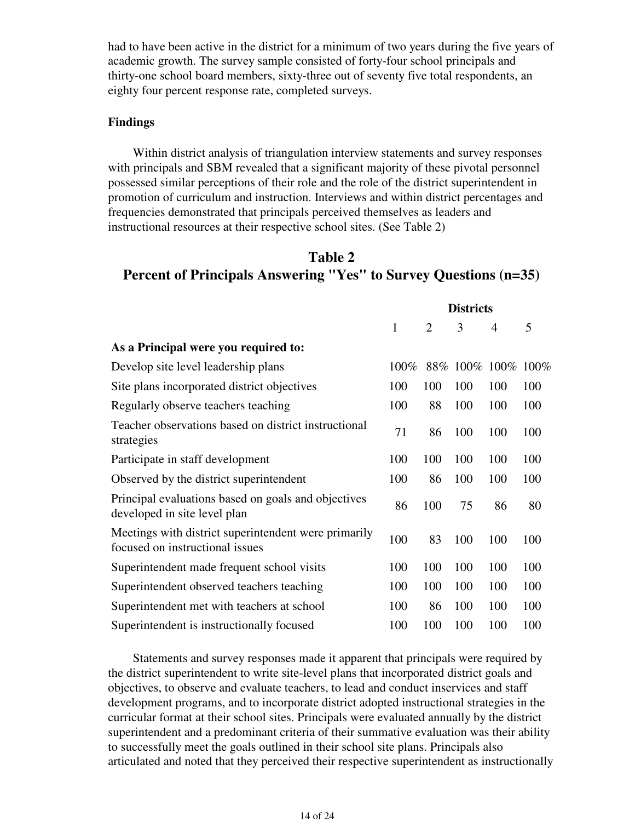had to have been active in the district for a minimum of two years during the five years of academic growth. The survey sample consisted of forty-four school principals and thirty-one school board members, sixty-three out of seventy five total respondents, an eighty four percent response rate, completed surveys.

### **Findings**

 Within district analysis of triangulation interview statements and survey responses with principals and SBM revealed that a significant majority of these pivotal personnel possessed similar perceptions of their role and the role of the district superintendent in promotion of curriculum and instruction. Interviews and within district percentages and frequencies demonstrated that principals perceived themselves as leaders and instructional resources at their respective school sites. (See Table 2)

# **Table 2 Percent of Principals Answering "Yes" to Survey Questions (n=35)**

|                                                                                         | <b>Districts</b> |                |     |                    |     |
|-----------------------------------------------------------------------------------------|------------------|----------------|-----|--------------------|-----|
|                                                                                         | $\mathbf{1}$     | $\overline{2}$ | 3   | 4                  | 5   |
| As a Principal were you required to:                                                    |                  |                |     |                    |     |
| Develop site level leadership plans                                                     | 100%             |                |     | 88% 100% 100% 100% |     |
| Site plans incorporated district objectives                                             | 100              | 100            | 100 | 100                | 100 |
| Regularly observe teachers teaching                                                     | 100              | 88             | 100 | 100                | 100 |
| Teacher observations based on district instructional<br>strategies                      | 71               | 86             | 100 | 100                | 100 |
| Participate in staff development                                                        | 100              | 100            | 100 | 100                | 100 |
| Observed by the district superintendent                                                 | 100              | 86             | 100 | 100                | 100 |
| Principal evaluations based on goals and objectives<br>developed in site level plan     | 86               | 100            | 75  | 86                 | 80  |
| Meetings with district superintendent were primarily<br>focused on instructional issues | 100              | 83             | 100 | 100                | 100 |
| Superintendent made frequent school visits                                              | 100              | 100            | 100 | 100                | 100 |
| Superintendent observed teachers teaching                                               | 100              | 100            | 100 | 100                | 100 |
| Superintendent met with teachers at school                                              | 100              | 86             | 100 | 100                | 100 |
| Superintendent is instructionally focused                                               | 100              | 100            | 100 | 100                | 100 |

 Statements and survey responses made it apparent that principals were required by the district superintendent to write site-level plans that incorporated district goals and objectives, to observe and evaluate teachers, to lead and conduct inservices and staff development programs, and to incorporate district adopted instructional strategies in the curricular format at their school sites. Principals were evaluated annually by the district superintendent and a predominant criteria of their summative evaluation was their ability to successfully meet the goals outlined in their school site plans. Principals also articulated and noted that they perceived their respective superintendent as instructionally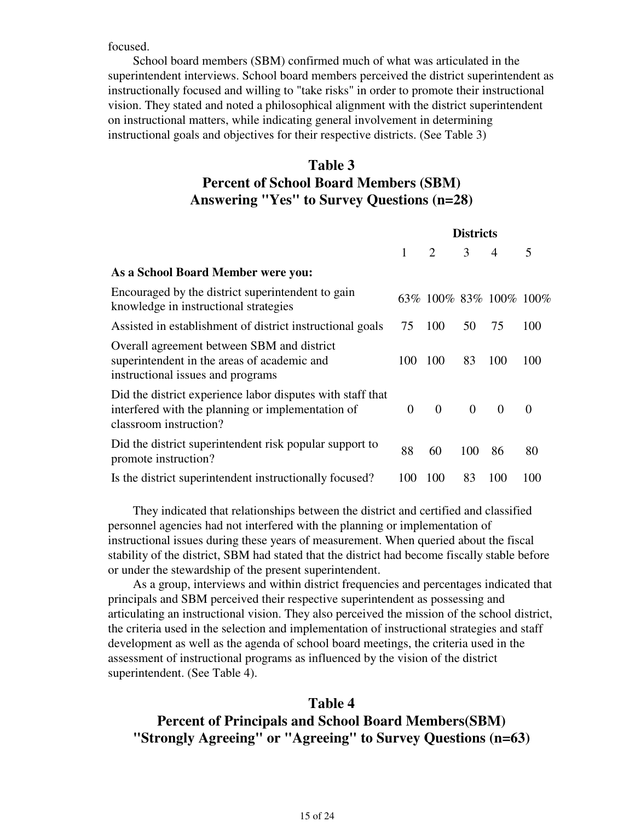focused.

 School board members (SBM) confirmed much of what was articulated in the superintendent interviews. School board members perceived the district superintendent as instructionally focused and willing to "take risks" in order to promote their instructional vision. They stated and noted a philosophical alignment with the district superintendent on instructional matters, while indicating general involvement in determining instructional goals and objectives for their respective districts. (See Table 3)

# **Table 3 Percent of School Board Members (SBM) Answering "Yes" to Survey Questions (n=28)**

|                                                                                                                                           | <b>Districts</b> |                             |               |                             |          |
|-------------------------------------------------------------------------------------------------------------------------------------------|------------------|-----------------------------|---------------|-----------------------------|----------|
|                                                                                                                                           |                  | $\mathcal{D}_{\mathcal{L}}$ | $\mathcal{E}$ | $\overline{4}$              | 5        |
| As a School Board Member were you:                                                                                                        |                  |                             |               |                             |          |
| Encouraged by the district superintendent to gain<br>knowledge in instructional strategies                                                |                  |                             |               | 63\% 100\% 83\% 100\% 100\% |          |
| Assisted in establishment of district instructional goals                                                                                 | 75               | 100                         | 50            | 75                          | 100      |
| Overall agreement between SBM and district<br>superintendent in the areas of academic and<br>instructional issues and programs            | 100              | 100                         | 83            | 100                         | 100      |
| Did the district experience labor disputes with staff that<br>interfered with the planning or implementation of<br>classroom instruction? | $\Omega$         | $\overline{0}$              | $\Omega$      | $\Omega$                    | $\Omega$ |
| Did the district superintendent risk popular support to<br>promote instruction?                                                           | 88               | 60                          | 100           | 86                          | 80       |
| Is the district superintendent instructionally focused?                                                                                   | 100              | 100                         | 83            | 100                         | 100      |

 They indicated that relationships between the district and certified and classified personnel agencies had not interfered with the planning or implementation of instructional issues during these years of measurement. When queried about the fiscal stability of the district, SBM had stated that the district had become fiscally stable before or under the stewardship of the present superintendent.

 As a group, interviews and within district frequencies and percentages indicated that principals and SBM perceived their respective superintendent as possessing and articulating an instructional vision. They also perceived the mission of the school district, the criteria used in the selection and implementation of instructional strategies and staff development as well as the agenda of school board meetings, the criteria used in the assessment of instructional programs as influenced by the vision of the district superintendent. (See Table 4).

### **Table 4**

# **Percent of Principals and School Board Members(SBM) "Strongly Agreeing" or "Agreeing" to Survey Questions (n=63)**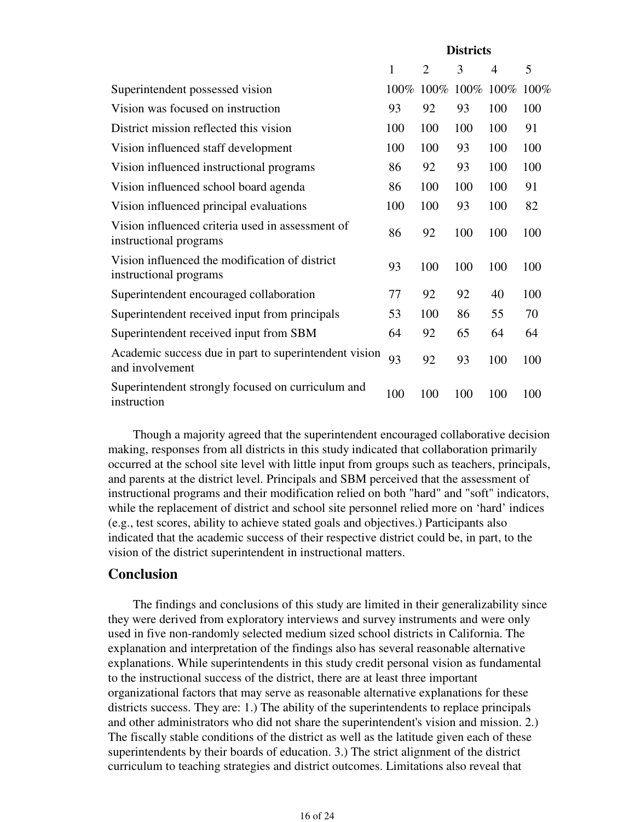|                                                                            | <b>Districts</b> |                     |     |                |      |
|----------------------------------------------------------------------------|------------------|---------------------|-----|----------------|------|
|                                                                            | $\mathbf{1}$     | 2                   | 3   | $\overline{4}$ | 5    |
| Superintendent possessed vision                                            |                  | 100% 100% 100% 100% |     |                | 100% |
| Vision was focused on instruction                                          | 93               | 92                  | 93  | 100            | 100  |
| District mission reflected this vision                                     | 100              | 100                 | 100 | 100            | 91   |
| Vision influenced staff development                                        | 100              | 100                 | 93  | 100            | 100  |
| Vision influenced instructional programs                                   | 86               | 92                  | 93  | 100            | 100  |
| Vision influenced school board agenda                                      | 86               | 100                 | 100 | 100            | 91   |
| Vision influenced principal evaluations                                    | 100              | 100                 | 93  | 100            | 82   |
| Vision influenced criteria used in assessment of<br>instructional programs | 86               | 92                  | 100 | 100            | 100  |
| Vision influenced the modification of district<br>instructional programs   | 93               | 100                 | 100 | 100            | 100  |
| Superintendent encouraged collaboration                                    | 77               | 92                  | 92  | 40             | 100  |
| Superintendent received input from principals                              | 53               | 100                 | 86  | 55             | 70   |
| Superintendent received input from SBM                                     | 64               | 92                  | 65  | 64             | 64   |
| Academic success due in part to superintendent vision<br>and involvement   | 93               | 92                  | 93  | 100            | 100  |
| Superintendent strongly focused on curriculum and<br>instruction           | 100              | 100                 | 100 | 100            | 100  |

 Though a majority agreed that the superintendent encouraged collaborative decision making, responses from all districts in this study indicated that collaboration primarily occurred at the school site level with little input from groups such as teachers, principals, and parents at the district level. Principals and SBM perceived that the assessment of instructional programs and their modification relied on both "hard" and "soft" indicators, while the replacement of district and school site personnel relied more on 'hard' indices (e.g., test scores, ability to achieve stated goals and objectives.) Participants also indicated that the academic success of their respective district could be, in part, to the vision of the district superintendent in instructional matters.

## **Conclusion**

 The findings and conclusions of this study are limited in their generalizability since they were derived from exploratory interviews and survey instruments and were only used in five non-randomly selected medium sized school districts in California. The explanation and interpretation of the findings also has several reasonable alternative explanations. While superintendents in this study credit personal vision as fundamental to the instructional success of the district, there are at least three important organizational factors that may serve as reasonable alternative explanations for these districts success. They are: 1.) The ability of the superintendents to replace principals and other administrators who did not share the superintendent's vision and mission. 2.) The fiscally stable conditions of the district as well as the latitude given each of these superintendents by their boards of education. 3.) The strict alignment of the district curriculum to teaching strategies and district outcomes. Limitations also reveal that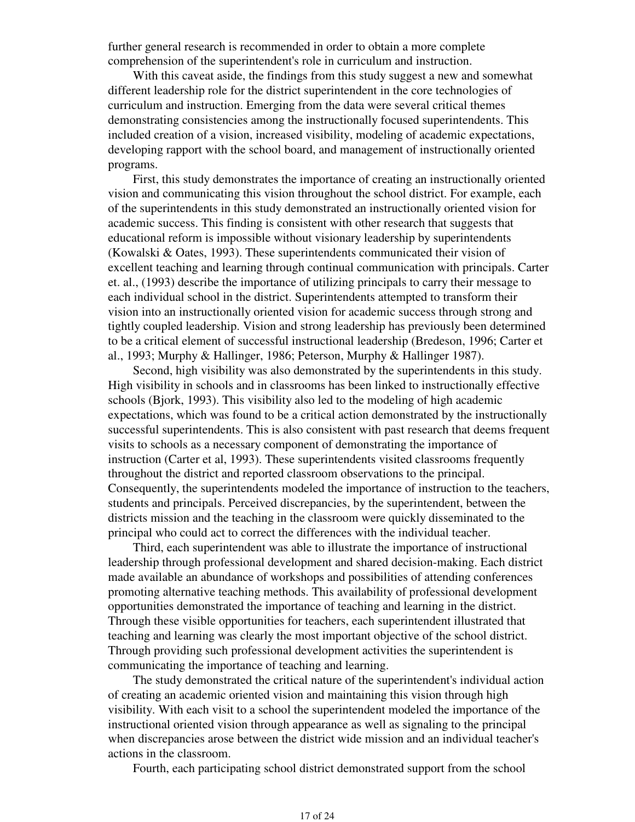further general research is recommended in order to obtain a more complete comprehension of the superintendent's role in curriculum and instruction.

 With this caveat aside, the findings from this study suggest a new and somewhat different leadership role for the district superintendent in the core technologies of curriculum and instruction. Emerging from the data were several critical themes demonstrating consistencies among the instructionally focused superintendents. This included creation of a vision, increased visibility, modeling of academic expectations, developing rapport with the school board, and management of instructionally oriented programs.

 First, this study demonstrates the importance of creating an instructionally oriented vision and communicating this vision throughout the school district. For example, each of the superintendents in this study demonstrated an instructionally oriented vision for academic success. This finding is consistent with other research that suggests that educational reform is impossible without visionary leadership by superintendents (Kowalski & Oates, 1993). These superintendents communicated their vision of excellent teaching and learning through continual communication with principals. Carter et. al., (1993) describe the importance of utilizing principals to carry their message to each individual school in the district. Superintendents attempted to transform their vision into an instructionally oriented vision for academic success through strong and tightly coupled leadership. Vision and strong leadership has previously been determined to be a critical element of successful instructional leadership (Bredeson, 1996; Carter et al., 1993; Murphy & Hallinger, 1986; Peterson, Murphy & Hallinger 1987).

 Second, high visibility was also demonstrated by the superintendents in this study. High visibility in schools and in classrooms has been linked to instructionally effective schools (Bjork, 1993). This visibility also led to the modeling of high academic expectations, which was found to be a critical action demonstrated by the instructionally successful superintendents. This is also consistent with past research that deems frequent visits to schools as a necessary component of demonstrating the importance of instruction (Carter et al, 1993). These superintendents visited classrooms frequently throughout the district and reported classroom observations to the principal. Consequently, the superintendents modeled the importance of instruction to the teachers, students and principals. Perceived discrepancies, by the superintendent, between the districts mission and the teaching in the classroom were quickly disseminated to the principal who could act to correct the differences with the individual teacher.

 Third, each superintendent was able to illustrate the importance of instructional leadership through professional development and shared decision-making. Each district made available an abundance of workshops and possibilities of attending conferences promoting alternative teaching methods. This availability of professional development opportunities demonstrated the importance of teaching and learning in the district. Through these visible opportunities for teachers, each superintendent illustrated that teaching and learning was clearly the most important objective of the school district. Through providing such professional development activities the superintendent is communicating the importance of teaching and learning.

 The study demonstrated the critical nature of the superintendent's individual action of creating an academic oriented vision and maintaining this vision through high visibility. With each visit to a school the superintendent modeled the importance of the instructional oriented vision through appearance as well as signaling to the principal when discrepancies arose between the district wide mission and an individual teacher's actions in the classroom.

Fourth, each participating school district demonstrated support from the school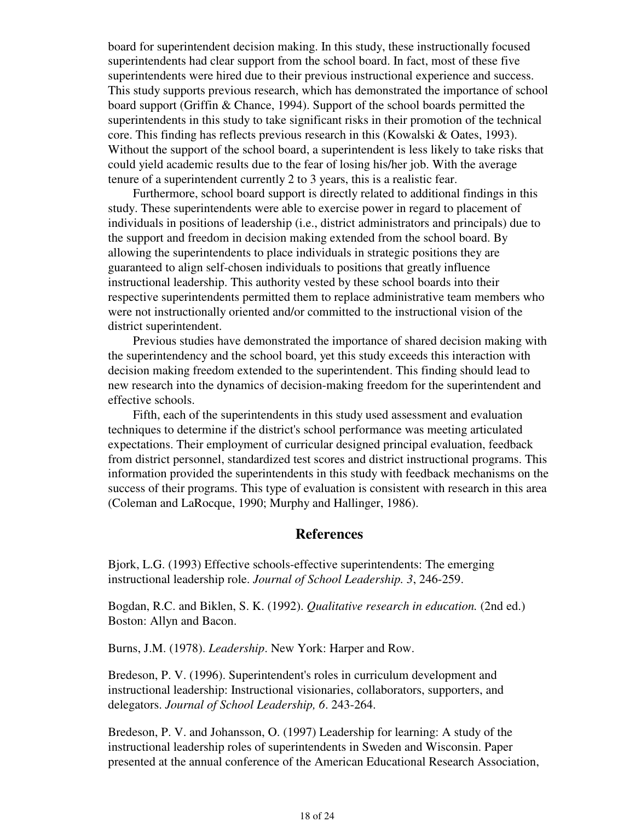board for superintendent decision making. In this study, these instructionally focused superintendents had clear support from the school board. In fact, most of these five superintendents were hired due to their previous instructional experience and success. This study supports previous research, which has demonstrated the importance of school board support (Griffin & Chance, 1994). Support of the school boards permitted the superintendents in this study to take significant risks in their promotion of the technical core. This finding has reflects previous research in this (Kowalski & Oates, 1993). Without the support of the school board, a superintendent is less likely to take risks that could yield academic results due to the fear of losing his/her job. With the average tenure of a superintendent currently 2 to 3 years, this is a realistic fear.

 Furthermore, school board support is directly related to additional findings in this study. These superintendents were able to exercise power in regard to placement of individuals in positions of leadership (i.e., district administrators and principals) due to the support and freedom in decision making extended from the school board. By allowing the superintendents to place individuals in strategic positions they are guaranteed to align self-chosen individuals to positions that greatly influence instructional leadership. This authority vested by these school boards into their respective superintendents permitted them to replace administrative team members who were not instructionally oriented and/or committed to the instructional vision of the district superintendent.

 Previous studies have demonstrated the importance of shared decision making with the superintendency and the school board, yet this study exceeds this interaction with decision making freedom extended to the superintendent. This finding should lead to new research into the dynamics of decision-making freedom for the superintendent and effective schools.

 Fifth, each of the superintendents in this study used assessment and evaluation techniques to determine if the district's school performance was meeting articulated expectations. Their employment of curricular designed principal evaluation, feedback from district personnel, standardized test scores and district instructional programs. This information provided the superintendents in this study with feedback mechanisms on the success of their programs. This type of evaluation is consistent with research in this area (Coleman and LaRocque, 1990; Murphy and Hallinger, 1986).

## **References**

Bjork, L.G. (1993) Effective schools-effective superintendents: The emerging instructional leadership role. *Journal of School Leadership. 3*, 246-259.

Bogdan, R.C. and Biklen, S. K. (1992). *Qualitative research in education.* (2nd ed.) Boston: Allyn and Bacon.

Burns, J.M. (1978). *Leadership*. New York: Harper and Row.

Bredeson, P. V. (1996). Superintendent's roles in curriculum development and instructional leadership: Instructional visionaries, collaborators, supporters, and delegators. *Journal of School Leadership, 6*. 243-264.

Bredeson, P. V. and Johansson, O. (1997) Leadership for learning: A study of the instructional leadership roles of superintendents in Sweden and Wisconsin. Paper presented at the annual conference of the American Educational Research Association,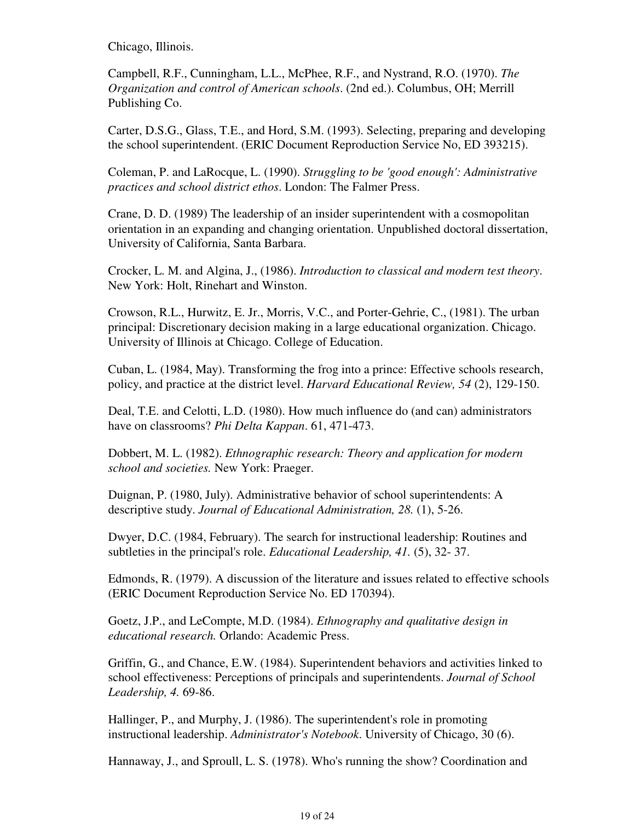Chicago, Illinois.

Campbell, R.F., Cunningham, L.L., McPhee, R.F., and Nystrand, R.O. (1970). *The Organization and control of American schools*. (2nd ed.). Columbus, OH; Merrill Publishing Co.

Carter, D.S.G., Glass, T.E., and Hord, S.M. (1993). Selecting, preparing and developing the school superintendent. (ERIC Document Reproduction Service No, ED 393215).

Coleman, P. and LaRocque, L. (1990). *Struggling to be 'good enough': Administrative practices and school district ethos*. London: The Falmer Press.

Crane, D. D. (1989) The leadership of an insider superintendent with a cosmopolitan orientation in an expanding and changing orientation. Unpublished doctoral dissertation, University of California, Santa Barbara.

Crocker, L. M. and Algina, J., (1986). *Introduction to classical and modern test theory*. New York: Holt, Rinehart and Winston.

Crowson, R.L., Hurwitz, E. Jr., Morris, V.C., and Porter-Gehrie, C., (1981). The urban principal: Discretionary decision making in a large educational organization. Chicago. University of Illinois at Chicago. College of Education.

Cuban, L. (1984, May). Transforming the frog into a prince: Effective schools research, policy, and practice at the district level. *Harvard Educational Review, 54* (2), 129-150.

Deal, T.E. and Celotti, L.D. (1980). How much influence do (and can) administrators have on classrooms? *Phi Delta Kappan*. 61, 471-473.

Dobbert, M. L. (1982). *Ethnographic research: Theory and application for modern school and societies.* New York: Praeger.

Duignan, P. (1980, July). Administrative behavior of school superintendents: A descriptive study. *Journal of Educational Administration, 28.* (1), 5-26.

Dwyer, D.C. (1984, February). The search for instructional leadership: Routines and subtleties in the principal's role. *Educational Leadership, 41.* (5), 32- 37.

Edmonds, R. (1979). A discussion of the literature and issues related to effective schools (ERIC Document Reproduction Service No. ED 170394).

Goetz, J.P., and LeCompte, M.D. (1984). *Ethnography and qualitative design in educational research.* Orlando: Academic Press.

Griffin, G., and Chance, E.W. (1984). Superintendent behaviors and activities linked to school effectiveness: Perceptions of principals and superintendents. *Journal of School Leadership, 4.* 69-86.

Hallinger, P., and Murphy, J. (1986). The superintendent's role in promoting instructional leadership. *Administrator's Notebook*. University of Chicago, 30 (6).

Hannaway, J., and Sproull, L. S. (1978). Who's running the show? Coordination and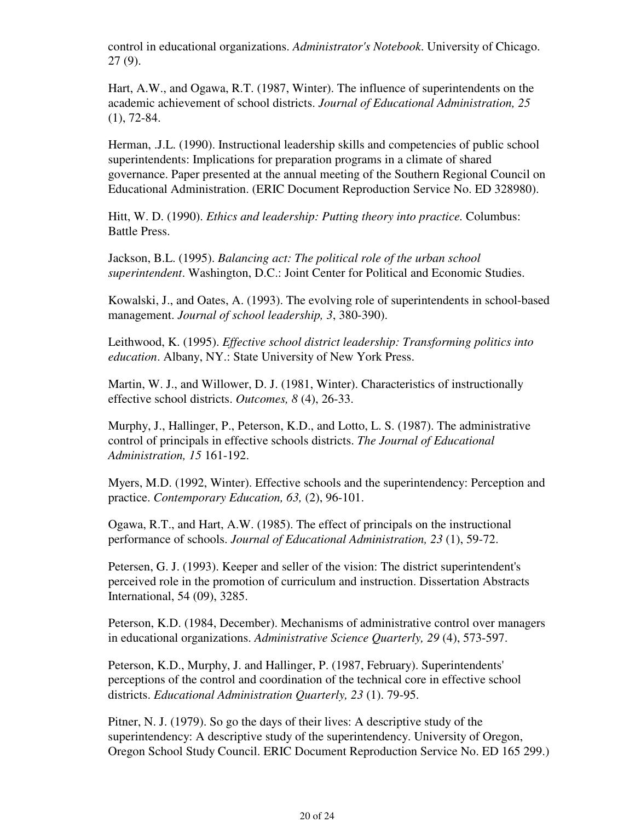control in educational organizations. *Administrator's Notebook*. University of Chicago. 27 (9).

Hart, A.W., and Ogawa, R.T. (1987, Winter). The influence of superintendents on the academic achievement of school districts. *Journal of Educational Administration, 25* (1), 72-84.

Herman, .J.L. (1990). Instructional leadership skills and competencies of public school superintendents: Implications for preparation programs in a climate of shared governance. Paper presented at the annual meeting of the Southern Regional Council on Educational Administration. (ERIC Document Reproduction Service No. ED 328980).

Hitt, W. D. (1990). *Ethics and leadership: Putting theory into practice.* Columbus: Battle Press.

Jackson, B.L. (1995). *Balancing act: The political role of the urban school superintendent*. Washington, D.C.: Joint Center for Political and Economic Studies.

Kowalski, J., and Oates, A. (1993). The evolving role of superintendents in school-based management. *Journal of school leadership, 3*, 380-390).

Leithwood, K. (1995). *Effective school district leadership: Transforming politics into education*. Albany, NY.: State University of New York Press.

Martin, W. J., and Willower, D. J. (1981, Winter). Characteristics of instructionally effective school districts. *Outcomes, 8* (4), 26-33.

Murphy, J., Hallinger, P., Peterson, K.D., and Lotto, L. S. (1987). The administrative control of principals in effective schools districts. *The Journal of Educational Administration, 15* 161-192.

Myers, M.D. (1992, Winter). Effective schools and the superintendency: Perception and practice. *Contemporary Education, 63,* (2), 96-101.

Ogawa, R.T., and Hart, A.W. (1985). The effect of principals on the instructional performance of schools. *Journal of Educational Administration, 23* (1), 59-72.

Petersen, G. J. (1993). Keeper and seller of the vision: The district superintendent's perceived role in the promotion of curriculum and instruction. Dissertation Abstracts International, 54 (09), 3285.

Peterson, K.D. (1984, December). Mechanisms of administrative control over managers in educational organizations. *Administrative Science Quarterly, 29* (4), 573-597.

Peterson, K.D., Murphy, J. and Hallinger, P. (1987, February). Superintendents' perceptions of the control and coordination of the technical core in effective school districts. *Educational Administration Quarterly, 23* (1). 79-95.

Pitner, N. J. (1979). So go the days of their lives: A descriptive study of the superintendency: A descriptive study of the superintendency. University of Oregon, Oregon School Study Council. ERIC Document Reproduction Service No. ED 165 299.)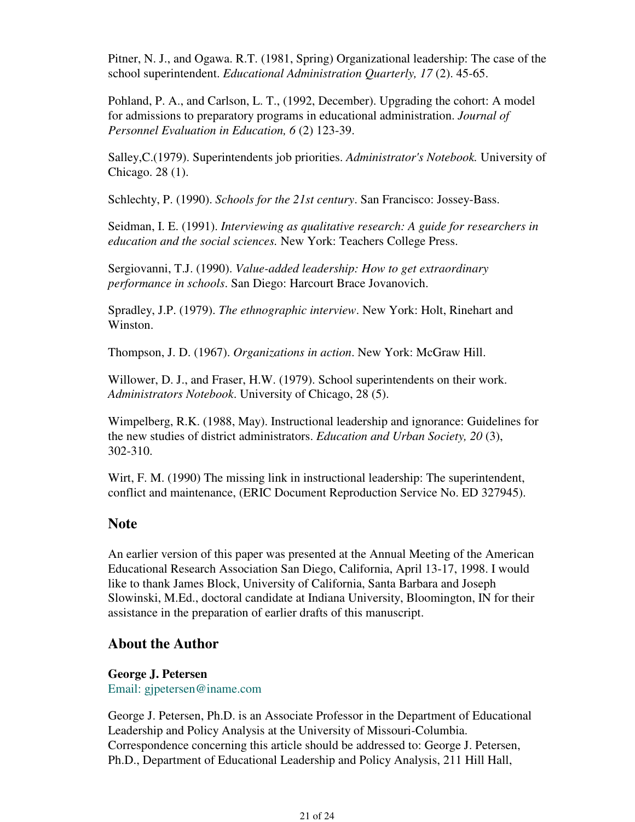Pitner, N. J., and Ogawa. R.T. (1981, Spring) Organizational leadership: The case of the school superintendent. *Educational Administration Quarterly, 17* (2). 45-65.

Pohland, P. A., and Carlson, L. T., (1992, December). Upgrading the cohort: A model for admissions to preparatory programs in educational administration. *Journal of Personnel Evaluation in Education, 6* (2) 123-39.

Salley,C.(1979). Superintendents job priorities. *Administrator's Notebook.* University of Chicago. 28 (1).

Schlechty, P. (1990). *Schools for the 21st century*. San Francisco: Jossey-Bass.

Seidman, I. E. (1991). *Interviewing as qualitative research: A guide for researchers in education and the social sciences.* New York: Teachers College Press.

Sergiovanni, T.J. (1990). *Value-added leadership: How to get extraordinary performance in schools*. San Diego: Harcourt Brace Jovanovich.

Spradley, J.P. (1979). *The ethnographic interview*. New York: Holt, Rinehart and Winston.

Thompson, J. D. (1967). *Organizations in action*. New York: McGraw Hill.

Willower, D. J., and Fraser, H.W. (1979). School superintendents on their work. *Administrators Notebook*. University of Chicago, 28 (5).

Wimpelberg, R.K. (1988, May). Instructional leadership and ignorance: Guidelines for the new studies of district administrators. *Education and Urban Society, 20* (3), 302-310.

Wirt, F. M. (1990) The missing link in instructional leadership: The superintendent, conflict and maintenance, (ERIC Document Reproduction Service No. ED 327945).

# **Note**

An earlier version of this paper was presented at the Annual Meeting of the American Educational Research Association San Diego, California, April 13-17, 1998. I would like to thank James Block, University of California, Santa Barbara and Joseph Slowinski, M.Ed., doctoral candidate at Indiana University, Bloomington, IN for their assistance in the preparation of earlier drafts of this manuscript.

# **About the Author**

**George J. Petersen** Email: gjpetersen@iname.com

George J. Petersen, Ph.D. is an Associate Professor in the Department of Educational Leadership and Policy Analysis at the University of Missouri-Columbia. Correspondence concerning this article should be addressed to: George J. Petersen, Ph.D., Department of Educational Leadership and Policy Analysis, 211 Hill Hall,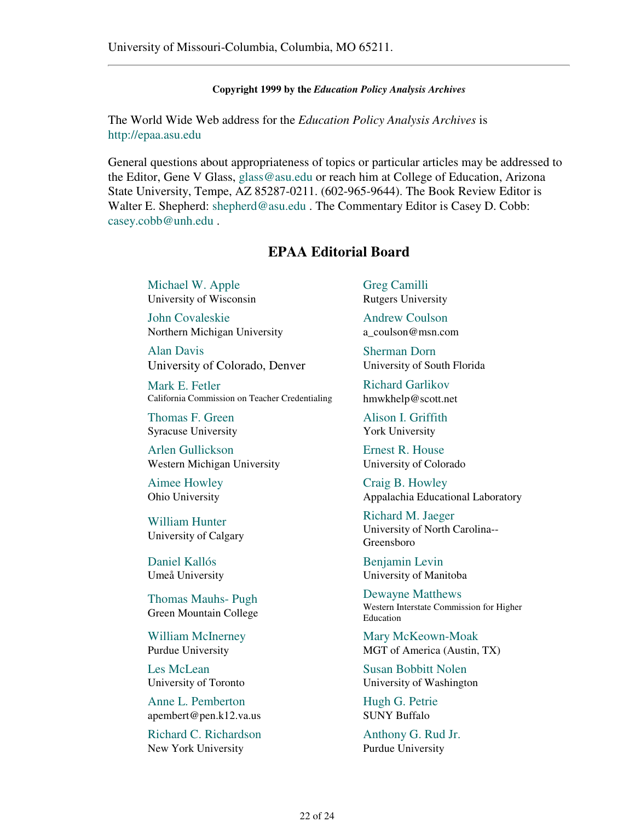#### **Copyright 1999 by the** *Education Policy Analysis Archives*

The World Wide Web address for the *Education Policy Analysis Archives* is http://epaa.asu.edu

General questions about appropriateness of topics or particular articles may be addressed to the Editor, Gene V Glass, glass@asu.edu or reach him at College of Education, Arizona State University, Tempe, AZ 85287-0211. (602-965-9644). The Book Review Editor is Walter E. Shepherd: shepherd@asu.edu. The Commentary Editor is Casey D. Cobb: casey.cobb@unh.edu .

# **EPAA Editorial Board**

Michael W. Apple University of Wisconsin

John Covaleskie Northern Michigan University

Alan Davis University of Colorado, Denver

Mark E. Fetler California Commission on Teacher Credentialing

Thomas F. Green Syracuse University

Arlen Gullickson Western Michigan University

Aimee Howley Ohio University

William Hunter University of Calgary

Daniel Kallós Umeå University

Thomas Mauhs- Pugh Green Mountain College

William McInerney Purdue University

Les McLean University of Toronto

Anne L. Pemberton apembert@pen.k12.va.us

Richard C. Richardson New York University

Greg Camilli Rutgers University

Andrew Coulson a\_coulson@msn.com

Sherman Dorn University of South Florida

Richard Garlikov hmwkhelp@scott.net

Alison I. Griffith York University

Ernest R. House University of Colorado

Craig B. Howley Appalachia Educational Laboratory

Richard M. Jaeger University of North Carolina-- Greensboro

Benjamin Levin University of Manitoba

Dewayne Matthews Western Interstate Commission for Higher Education

Mary McKeown-Moak MGT of America (Austin, TX)

Susan Bobbitt Nolen University of Washington

Hugh G. Petrie SUNY Buffalo

Anthony G. Rud Jr. Purdue University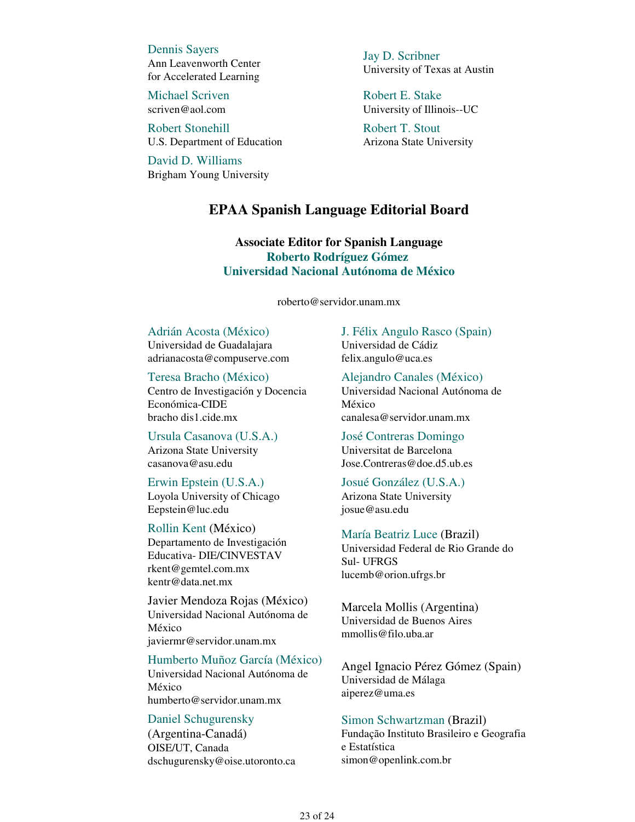Dennis Sayers Ann Leavenworth Center for Accelerated Learning

Michael Scriven scriven@aol.com

Robert Stonehill U.S. Department of Education

David D. Williams Brigham Young University Jay D. Scribner University of Texas at Austin

Robert E. Stake University of Illinois--UC

Robert T. Stout Arizona State University

# **EPAA Spanish Language Editorial Board**

**Associate Editor for Spanish Language Roberto Rodríguez Gómez Universidad Nacional Autónoma de México**

roberto@servidor.unam.mx

# Adrián Acosta (México)

Universidad de Guadalajara adrianacosta@compuserve.com

#### Teresa Bracho (México)

Centro de Investigación y Docencia Económica-CIDE bracho dis1.cide.mx

Ursula Casanova (U.S.A.) Arizona State University casanova@asu.edu

#### Erwin Epstein (U.S.A.)

Loyola University of Chicago Eepstein@luc.edu

### Rollin Kent (México)

Departamento de Investigación Educativa- DIE/CINVESTAV rkent@gemtel.com.mx kentr@data.net.mx

Javier Mendoza Rojas (México) Universidad Nacional Autónoma de México javiermr@servidor.unam.mx

#### Humberto Muñoz García (México)

Universidad Nacional Autónoma de México humberto@servidor.unam.mx

### Daniel Schugurensky

(Argentina-Canadá) OISE/UT, Canada dschugurensky@oise.utoronto.ca J. Félix Angulo Rasco (Spain) Universidad de Cádiz felix.angulo@uca.es

Alejandro Canales (México) Universidad Nacional Autónoma de México canalesa@servidor.unam.mx

José Contreras Domingo Universitat de Barcelona Jose.Contreras@doe.d5.ub.es

#### Josué González (U.S.A.)

Arizona State University josue@asu.edu

#### María Beatriz Luce (Brazil)

Universidad Federal de Rio Grande do Sul- UFRGS lucemb@orion.ufrgs.br

Marcela Mollis (Argentina) Universidad de Buenos Aires mmollis@filo.uba.ar

Angel Ignacio Pérez Gómez (Spain) Universidad de Málaga aiperez@uma.es

### Simon Schwartzman (Brazil)

Fundação Instituto Brasileiro e Geografia e Estatística simon@openlink.com.br